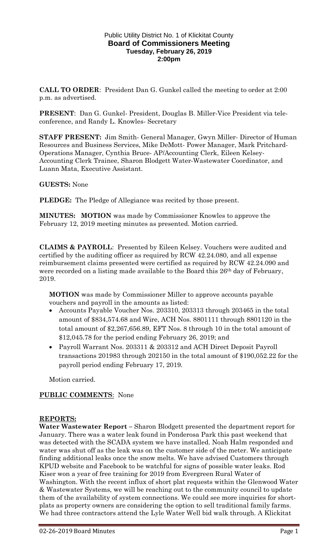### Public Utility District No. 1 of Klickitat County **Board of Commissioners Meeting Tuesday, February 26, 2019 2:00pm**

**CALL TO ORDER**: President Dan G. Gunkel called the meeting to order at 2:00 p.m. as advertised.

**PRESENT**: Dan G. Gunkel- President, Douglas B. Miller-Vice President via teleconference, and Randy L. Knowles- Secretary

**STAFF PRESENT:** Jim Smith- General Manager, Gwyn Miller- Director of Human Resources and Business Services, Mike DeMott- Power Manager, Mark Pritchard-Operations Manager, Cynthia Bruce- AP/Accounting Clerk, Eileen Kelsey-Accounting Clerk Trainee, Sharon Blodgett Water-Wastewater Coordinator, and Luann Mata, Executive Assistant.

### **GUESTS:** None

**PLEDGE:** The Pledge of Allegiance was recited by those present.

**MINUTES: MOTION** was made by Commissioner Knowles to approve the February 12, 2019 meeting minutes as presented. Motion carried.

**CLAIMS & PAYROLL**: Presented by Eileen Kelsey. Vouchers were audited and certified by the auditing officer as required by RCW 42.24.080, and all expense reimbursement claims presented were certified as required by RCW 42.24.090 and were recorded on a listing made available to the Board this 26<sup>th</sup> day of February, 2019.

**MOTION** was made by Commissioner Miller to approve accounts payable vouchers and payroll in the amounts as listed:

- Accounts Payable Voucher Nos. 203310, 203313 through 203465 in the total amount of \$834,574.68 and Wire, ACH Nos. 8801111 through 8801120 in the total amount of \$2,267,656.89, EFT Nos. 8 through 10 in the total amount of \$12,045.78 for the period ending February 26, 2019; and
- Payroll Warrant Nos. 203311 & 203312 and ACH Direct Deposit Payroll transactions 201983 through 202150 in the total amount of \$190,052.22 for the payroll period ending February 17, 2019.

Motion carried.

# **PUBLIC COMMENTS**: None

### **REPORTS:**

**Water Wastewater Report –** Sharon Blodgett presented the department report for January. There was a water leak found in Ponderosa Park this past weekend that was detected with the SCADA system we have installed. Noah Halm responded and water was shut off as the leak was on the customer side of the meter. We anticipate finding additional leaks once the snow melts. We have advised Customers through KPUD website and Facebook to be watchful for signs of possible water leaks. Rod Kiser won a year of free training for 2019 from Evergreen Rural Water of Washington. With the recent influx of short plat requests within the Glenwood Water & Wastewater Systems, we will be reaching out to the community council to update them of the availability of system connections. We could see more inquiries for shortplats as property owners are considering the option to sell traditional family farms. We had three contractors attend the Lyle Water Well bid walk through. A Klickitat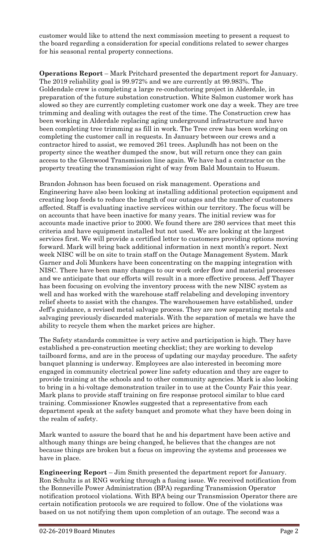customer would like to attend the next commission meeting to present a request to the board regarding a consideration for special conditions related to sewer charges for his seasonal rental property connections.

**Operations Report** – Mark Pritchard presented the department report for January. The 2019 reliability goal is 99.972% and we are currently at 99.983%. The Goldendale crew is completing a large re-conductoring project in Alderdale, in preparation of the future substation construction. White Salmon customer work has slowed so they are currently completing customer work one day a week. They are tree trimming and dealing with outages the rest of the time. The Construction crew has been working in Alderdale replacing aging underground infrastructure and have been completing tree trimming as fill in work. The Tree crew has been working on completing the customer call in requests. In January between our crews and a contractor hired to assist, we removed 261 trees. Asplundh has not been on the property since the weather dumped the snow, but will return once they can gain access to the Glenwood Transmission line again. We have had a contractor on the property treating the transmission right of way from Bald Mountain to Husum.

Brandon Johnson has been focused on risk management. Operations and Engineering have also been looking at installing additional protection equipment and creating loop feeds to reduce the length of our outages and the number of customers affected. Staff is evaluating inactive services within our territory. The focus will be on accounts that have been inactive for many years. The initial review was for accounts made inactive prior to 2000. We found there are 280 services that meet this criteria and have equipment installed but not used. We are looking at the largest services first. We will provide a certified letter to customers providing options moving forward. Mark will bring back additional information in next month's report. Next week NISC will be on site to train staff on the Outage Management System. Mark Garner and Joli Munkers have been concentrating on the mapping integration with NISC. There have been many changes to our work order flow and material processes and we anticipate that our efforts will result in a more effective process. Jeff Thayer has been focusing on evolving the inventory process with the new NISC system as well and has worked with the warehouse staff relabeling and developing inventory relief sheets to assist with the changes. The warehousemen have established, under Jeff's guidance, a revised metal salvage process. They are now separating metals and salvaging previously discarded materials. With the separation of metals we have the ability to recycle them when the market prices are higher.

The Safety standards committee is very active and participation is high. They have established a pre-construction meeting checklist; they are working to develop tailboard forms, and are in the process of updating our mayday procedure. The safety banquet planning is underway. Employees are also interested in becoming more engaged in community electrical power line safety education and they are eager to provide training at the schools and to other community agencies. Mark is also looking to bring in a hi-voltage demonstration trailer in to use at the County Fair this year. Mark plans to provide staff training on fire response protocol similar to blue card training. Commissioner Knowles suggested that a representative from each department speak at the safety banquet and promote what they have been doing in the realm of safety.

Mark wanted to assure the board that he and his department have been active and although many things are being changed, he believes that the changes are not because things are broken but a focus on improving the systems and processes we have in place.

**Engineering Report** – Jim Smith presented the department report for January. Ron Schultz is at RNG working through a fusing issue. We received notification from the Bonneville Power Administration (BPA) regarding Transmission Operator notification protocol violations. With BPA being our Transmission Operator there are certain notification protocols we are required to follow. One of the violations was based on us not notifying them upon completion of an outage. The second was a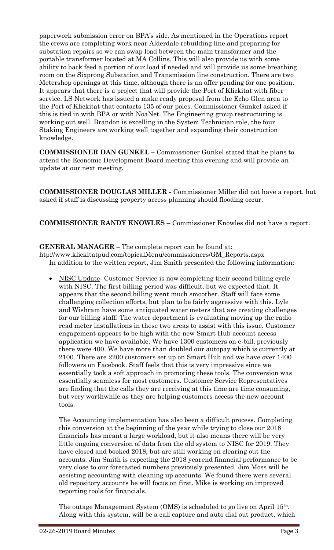paperwork submission error on BPA's side. As mentioned in the Operations report the crews are completing work near Alderdale rebuilding line and preparing for substation repairs so we can swap load between the main transformer and the portable transformer located at MA Collins. This will also provide us with some ability to back feed a portion of our load if needed and will provide us some breathing room on the Sixprong Substation and Transmission line construction. There are two Metershop openings at this time, although there is an offer pending for one position. It appears that there is a project that will provide the Port of Klickitat with fiber service. LS Network has issued a make ready proposal from the Echo Glen area to the Port of Klickitat that contacts 135 of our poles. Commissioner Gunkel asked if this is tied in with BPA or with NoaNet. The Engineering group restructuring is working out well. Brandon is excelling in the System Technician role, the four Staking Engineers are working well together and expanding their construction knowledge.

**COMMISSIONER DAN GUNKEL –** Commissioner Gunkel stated that he plans to attend the Economic Development Board meeting this evening and will provide an update at our next meeting.

**COMMISSIONER DOUGLAS MILLER -** Commissioner Miller did not have a report, but asked if staff is discussing property access planning should flooding occur.

**COMMISSIONER RANDY KNOWLES** – Commissioner Knowles did not have a report.

**GENERAL MANAGER –** The complete report can be found at:

[htp://www.klickitatpud.com/topicalMenu/commissioners/GM\\_Reports.aspx](http://www.klickitatpud.com/topicalMenu/commissioners/GM_Reports.aspx) In addition to the written report, Jim Smith presented the following information:

 NISC Update- Customer Service is now completing their second billing cycle with NISC. The first billing period was difficult, but we expected that. It appears that the second billing went much smoother. Staff will face some challenging collection efforts, but plan to be fairly aggressive with this. Lyle and Wishram have some antiquated water meters that are creating challenges for our billing staff. The water department is evaluating moving up the radio read meter installations in these two areas to assist with this issue. Customer engagement appears to be high with the new Smart Hub account access application we have available. We have 1300 customers on e-bill, previously there were 400. We have more than doubled our autopay which is currently at 2100. There are 2200 customers set up on Smart Hub and we have over 1400 followers on Facebook. Staff feels that this is very impressive since we essentially took a soft approach in promoting these tools. The conversion was essentially seamless for most customers. Customer Service Representatives are finding that the calls they are receiving at this time are time consuming, but very worthwhile as they are helping customers access the new account tools.

The Accounting implementation has also been a difficult process. Completing this conversion at the beginning of the year while trying to close our 2018 financials has meant a large workload, but it also means there will be very little ongoing conversion of data from the old system to NISC for 2019. They have closed and booked 2018, but are still working on clearing out the accounts. Jim Smith is expecting the 2018 yearend financial performance to be very close to our forecasted numbers previously presented. Jim Moss will be assisting accounting with cleaning up accounts. We found there were several old repository accounts he will focus on first. Mike is working on improved reporting tools for financials.

The outage Management System (OMS) is scheduled to go live on April 15th. Along with this system, will be a call capture and auto dial out product, which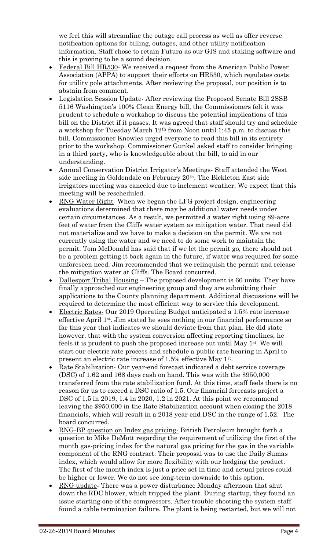we feel this will streamline the outage call process as well as offer reverse notification options for billing, outages, and other utility notification information. Staff chose to retain Futura as our GIS and staking software and this is proving to be a sound decision.

- Federal Bill HR530- We received a request from the American Public Power Association (APPA) to support their efforts on HR530, which regulates costs for utility pole attachments. After reviewing the proposal, our position is to abstain from comment.
- Legislation Session Update- After reviewing the Proposed Senate Bill 2SSB 5116 Washington's 100% Clean Energy bill, the Commissioners felt it was prudent to schedule a workshop to discuss the potential implications of this bill on the District if it passes. It was agreed that staff should try and schedule a workshop for Tuesday March 12th from Noon until 1:45 p.m. to discuss this bill. Commissioner Knowles urged everyone to read this bill in its entirety prior to the workshop. Commissioner Gunkel asked staff to consider bringing in a third party, who is knowledgeable about the bill, to aid in our understanding.
- Annual Conservation District Irrigator's Meetings- Staff attended the West side meeting in Goldendale on February 20th. The Bickleton East side irrigators meeting was canceled due to inclement weather. We expect that this meeting will be rescheduled.
- RNG Water Right- When we began the LFG project design, engineering evaluations determined that there may be additional water needs under certain circumstances. As a result, we permitted a water right using 89-acre feet of water from the Cliffs water system as mitigation water. That need did not materialize and we have to make a decision on the permit. We are not currently using the water and we need to do some work to maintain the permit. Tom McDonald has said that if we let the permit go, there should not be a problem getting it back again in the future, if water was required for some unforeseen need. Jim recommended that we relinquish the permit and release the mitigation water at Cliffs. The Board concurred.
- Dallesport Tribal Housing The proposed development is 66 units. They have finally approached our engineering group and they are submitting their applications to the County planning department. Additional discussions will be required to determine the most efficient way to service this development.
- Electric Rates- Our 2019 Operating Budget anticipated a 1.5% rate increase effective April 1st . Jim stated he sees nothing in our financial performance so far this year that indicates we should deviate from that plan. He did state however, that with the system conversion affecting reporting timelines, he feels it is prudent to push the proposed increase out until May 1st. We will start our electric rate process and schedule a public rate hearing in April to present an electric rate increase of 1.5% effective May 1st .
- Rate Stabilization- Our year-end forecast indicated a debt service coverage (DSC) of 1.62 and 168 days cash on hand. This was with the \$950,000 transferred from the rate stabilization fund. At this time, staff feels there is no reason for us to exceed a DSC ratio of 1.5. Our financial forecasts project a DSC of 1.5 in 2019, 1.4 in 2020, 1.2 in 2021. At this point we recommend leaving the \$950,000 in the Rate Stabilization account when closing the 2018 financials, which will result in a 2018 year end DSC in the range of 1.52. The board concurred.
- RNG-BP question on Index gas pricing- British Petroleum brought forth a question to Mike DeMott regarding the requirement of utilizing the first of the month gas-pricing index for the natural gas pricing for the gas in the variable component of the RNG contract. Their proposal was to use the Daily Sumas index, which would allow for more flexibility with our hedging the product. The first of the month index is just a price set in time and actual prices could be higher or lower. We do not see long-term downside to this option.
- RNG update- There was a power disturbance Monday afternoon that shut down the RDC blower, which tripped the plant. During startup, they found an issue starting one of the compressors. After trouble shooting the system staff found a cable termination failure. The plant is being restarted, but we will not